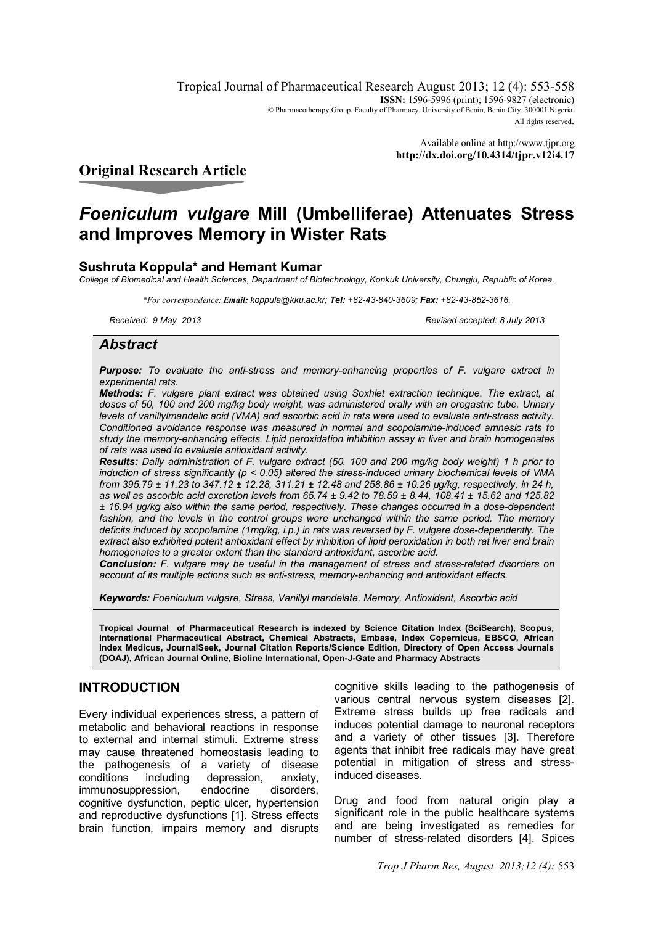Tropical Journal of Pharmaceutical Research August 2013; 12 (4): 553-558 **ISSN:** 1596-5996 (print): 1596-9827 (electronic) © Pharmacotherapy Group, Faculty of Pharmacy, University of Benin, Benin City, 300001 Nigeria. All rights reserved.

> Available online at http://www.tjpr.org **http://dx.doi.org/10.4314/tjpr.v12i4.17**

# **Original Research Article**

# *Foeniculum vulgare* **Mill (Umbelliferae) Attenuates Stress and Improves Memory in Wister Rats**

# **Sushruta Koppula\* and Hemant Kumar**

*College of Biomedical and Health Sciences, Department of Biotechnology, Konkuk University, Chungju, Republic of Korea.*

*\*For correspondence: Email: koppula@kku.ac.kr; Tel: +82-43-840-3609; Fax: +82-43-852-3616.*

*Received: 9 May 2013 Revised accepted: 8 July 2013*

# *Abstract*

*Purpose: To evaluate the anti-stress and memory-enhancing properties of F. vulgare extract in experimental rats.* 

*Methods: F. vulgare plant extract was obtained using Soxhlet extraction technique. The extract, at doses of 50, 100 and 200 mg/kg body weight, was administered orally with an orogastric tube. Urinary levels of vanillylmandelic acid (VMA) and ascorbic acid in rats were used to evaluate anti-stress activity. Conditioned avoidance response was measured in normal and scopolamine-induced amnesic rats to study the memory-enhancing effects. Lipid peroxidation inhibition assay in liver and brain homogenates of rats was used to evaluate antioxidant activity.* 

*Results: Daily administration of F. vulgare extract (50, 100 and 200 mg/kg body weight) 1 h prior to induction of stress significantly (p < 0.05) altered the stress-induced urinary biochemical levels of VMA from 395.79 ± 11.23 to 347.12 ± 12.28, 311.21 ± 12.48 and 258.86 ± 10.26 µg/kg, respectively, in 24 h, as well as ascorbic acid excretion levels from 65.74 ± 9.42 to 78.59 ± 8.44, 108.41 ± 15.62 and 125.82 ± 16.94 µg/kg also within the same period, respectively. These changes occurred in a dose-dependent*  fashion, and the levels in the control groups were unchanged within the same period. The memory *deficits induced by scopolamine (1mg/kg, i.p.) in rats was reversed by F. vulgare dose-dependently. The extract also exhibited potent antioxidant effect by inhibition of lipid peroxidation in both rat liver and brain homogenates to a greater extent than the standard antioxidant, ascorbic acid.* 

*Conclusion: F. vulgare may be useful in the management of stress and stress-related disorders on account of its multiple actions such as anti-stress, memory-enhancing and antioxidant effects.* 

*Keywords: Foeniculum vulgare, Stress, Vanillyl mandelate, Memory, Antioxidant, Ascorbic acid*

**Tropical Journal of Pharmaceutical Research is indexed by Science Citation Index (SciSearch), Scopus, International Pharmaceutical Abstract, Chemical Abstracts, Embase, Index Copernicus, EBSCO, African Index Medicus, JournalSeek, Journal Citation Reports/Science Edition, Directory of Open Access Journals (DOAJ), African Journal Online, Bioline International, Open-J-Gate and Pharmacy Abstracts**

# **INTRODUCTION**

Every individual experiences stress, a pattern of metabolic and behavioral reactions in response to external and internal stimuli. Extreme stress may cause threatened homeostasis leading to the pathogenesis of a variety of disease conditions including depression, anxiety, immunosuppression, endocrine disorders, cognitive dysfunction, peptic ulcer, hypertension and reproductive dysfunctions [1]. Stress effects brain function, impairs memory and disrupts

cognitive skills leading to the pathogenesis of various central nervous system diseases [2]. Extreme stress builds up free radicals and induces potential damage to neuronal receptors and a variety of other tissues [3]. Therefore agents that inhibit free radicals may have great potential in mitigation of stress and stressinduced diseases.

Drug and food from natural origin play a significant role in the public healthcare systems and are being investigated as remedies for number of stress-related disorders [4]. Spices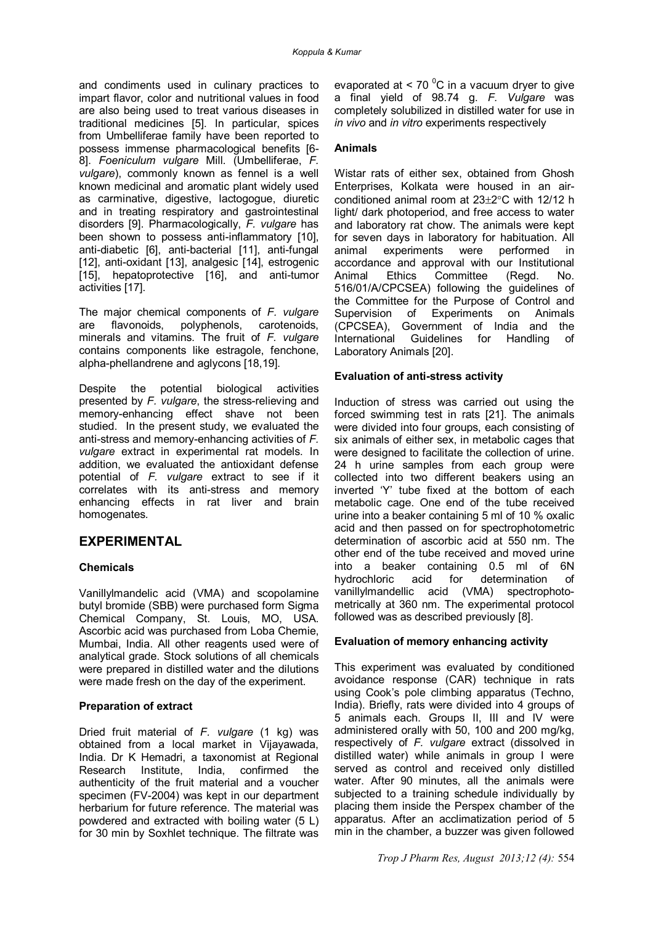and condiments used in culinary practices to impart flavor, color and nutritional values in food are also being used to treat various diseases in traditional medicines [5]. In particular, spices from Umbelliferae family have been reported to possess immense pharmacological benefits [6- 8]. *Foeniculum vulgare* Mill. (Umbelliferae, *F. vulgare*), commonly known as fennel is a well known medicinal and aromatic plant widely used as carminative, digestive, lactogogue, diuretic and in treating respiratory and gastrointestinal disorders [9]. Pharmacologically, *F. vulgare* has been shown to possess anti-inflammatory [10], anti-diabetic [6], anti-bacterial [11], anti-fungal [12], anti-oxidant [13], analgesic [14], estrogenic [15], hepatoprotective [16], and anti-tumor activities [17].

The major chemical components of *F. vulgare* are flavonoids, polyphenols, carotenoids, minerals and vitamins. The fruit of *F. vulgare* contains components like estragole, fenchone, alpha-phellandrene and aglycons [18,19].

Despite the potential biological activities presented by *F. vulgare*, the stress-relieving and memory-enhancing effect shave not been studied. In the present study, we evaluated the anti-stress and memory-enhancing activities of *F. vulgare* extract in experimental rat models. In addition, we evaluated the antioxidant defense potential of *F. vulgare* extract to see if it correlates with its anti-stress and memory enhancing effects in rat liver and brain homogenates*.* 

# **EXPERIMENTAL**

# **Chemicals**

Vanillylmandelic acid (VMA) and scopolamine butyl bromide (SBB) were purchased form Sigma Chemical Company, St. Louis, MO, USA. Ascorbic acid was purchased from Loba Chemie, Mumbai, India. All other reagents used were of analytical grade. Stock solutions of all chemicals were prepared in distilled water and the dilutions were made fresh on the day of the experiment.

# **Preparation of extract**

Dried fruit material of *F. vulgare* (1 kg) was obtained from a local market in Vijayawada, India. Dr K Hemadri, a taxonomist at Regional Research Institute, India, confirmed the authenticity of the fruit material and a voucher specimen (FV-2004) was kept in our department herbarium for future reference. The material was powdered and extracted with boiling water (5 L) for 30 min by Soxhlet technique. The filtrate was

evaporated at  $< 70<sup>0</sup>C$  in a vacuum dryer to give a final yield of 98.74 g. *F. Vulgare* was completely solubilized in distilled water for use in *in vivo* and *in vitro* experiments respectively

### **Animals**

Wistar rats of either sex, obtained from Ghosh Enterprises, Kolkata were housed in an airconditioned animal room at  $23\pm2\degree$ C with 12/12 h light/ dark photoperiod, and free access to water and laboratory rat chow. The animals were kept for seven days in laboratory for habituation. All animal experiments were performed in accordance and approval with our Institutional Animal Ethics Committee (Regd. No. 516/01/A/CPCSEA) following the guidelines of the Committee for the Purpose of Control and Supervision of Experiments on Animals (CPCSEA), Government of India and the International Guidelines for Handling of Laboratory Animals [20].

### **Evaluation of anti-stress activity**

Induction of stress was carried out using the forced swimming test in rats [21]. The animals were divided into four groups, each consisting of six animals of either sex, in metabolic cages that were designed to facilitate the collection of urine. 24 h urine samples from each group were collected into two different beakers using an inverted 'Y' tube fixed at the bottom of each metabolic cage. One end of the tube received urine into a beaker containing 5 ml of 10 % oxalic acid and then passed on for spectrophotometric determination of ascorbic acid at 550 nm. The other end of the tube received and moved urine into a beaker containing 0.5 ml of 6N hydrochloric acid for determination of vanillylmandellic acid (VMA) spectrophotometrically at 360 nm. The experimental protocol followed was as described previously [8].

# **Evaluation of memory enhancing activity**

This experiment was evaluated by conditioned avoidance response (CAR) technique in rats using Cook's pole climbing apparatus (Techno, India). Briefly, rats were divided into 4 groups of 5 animals each. Groups II, III and IV were administered orally with 50, 100 and 200 mg/kg, respectively of *F. vulgare* extract (dissolved in distilled water) while animals in group I were served as control and received only distilled water. After 90 minutes, all the animals were subjected to a training schedule individually by placing them inside the Perspex chamber of the apparatus. After an acclimatization period of 5 min in the chamber, a buzzer was given followed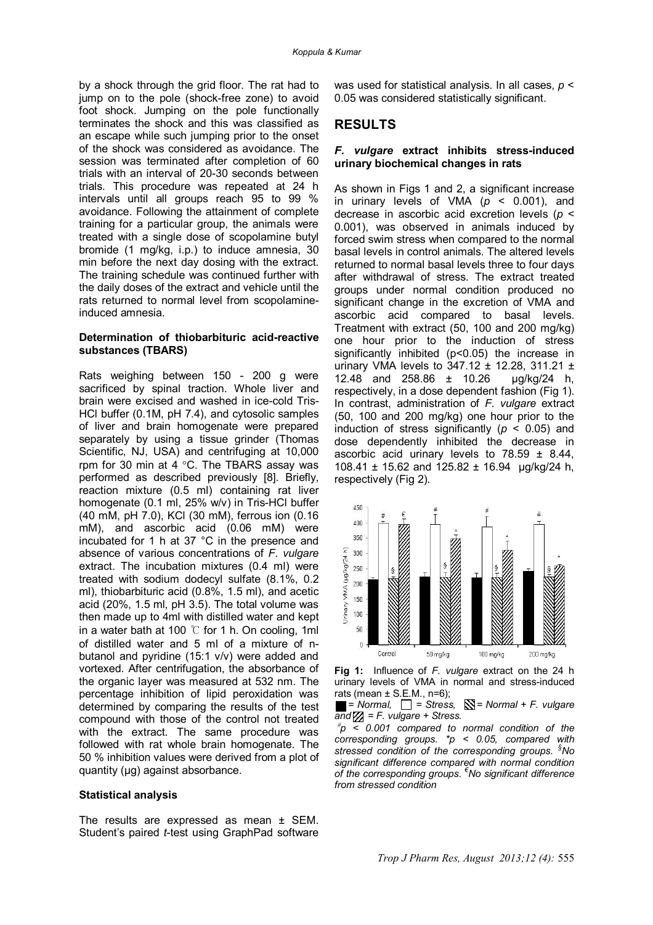by a shock through the grid floor. The rat had to jump on to the pole (shock-free zone) to avoid foot shock. Jumping on the pole functionally terminates the shock and this was classified as an escape while such jumping prior to the onset of the shock was considered as avoidance. The session was terminated after completion of 60 trials with an interval of 20-30 seconds between trials. This procedure was repeated at 24 h intervals until all groups reach 95 to 99 % avoidance. Following the attainment of complete training for a particular group, the animals were treated with a single dose of scopolamine butyl bromide (1 mg/kg, i.p.) to induce amnesia, 30 min before the next day dosing with the extract. The training schedule was continued further with the daily doses of the extract and vehicle until the rats returned to normal level from scopolamineinduced amnesia.

#### **Determination of thiobarbituric acid-reactive substances (TBARS)**

Rats weighing between 150 - 200 g were sacrificed by spinal traction. Whole liver and brain were excised and washed in ice-cold Tris-HCl buffer (0.1M, pH 7.4), and cytosolic samples of liver and brain homogenate were prepared separately by using a tissue grinder (Thomas Scientific, NJ, USA) and centrifuging at 10,000 rpm for 30 min at 4  $\degree$ C. The TBARS assay was performed as described previously [8]. Briefly, reaction mixture (0.5 ml) containing rat liver homogenate (0.1 ml, 25% w/v) in Tris-HCl buffer (40 mM, pH 7.0), KCl (30 mM), ferrous ion (0.16 mM), and ascorbic acid (0.06 mM) were incubated for 1 h at 37 °C in the presence and absence of various concentrations of *F. vulgare* extract. The incubation mixtures (0.4 ml) were treated with sodium dodecyl sulfate (8.1%, 0.2 ml), thiobarbituric acid (0.8%, 1.5 ml), and acetic acid (20%, 1.5 ml, pH 3.5). The total volume was then made up to 4ml with distilled water and kept in a water bath at 100 ℃ for 1 h. On cooling, 1ml of distilled water and 5 ml of a mixture of nbutanol and pyridine (15:1 v/v) were added and vortexed. After centrifugation, the absorbance of the organic layer was measured at 532 nm. The percentage inhibition of lipid peroxidation was determined by comparing the results of the test compound with those of the control not treated with the extract. The same procedure was followed with rat whole brain homogenate. The 50 % inhibition values were derived from a plot of quantity (μg) against absorbance.

#### **Statistical analysis**

The results are expressed as mean ± SEM. Student's paired *t*-test using GraphPad software was used for statistical analysis. In all cases, *p* < 0.05 was considered statistically significant.

### **RESULTS**

#### *F. vulgare* **extract inhibits stress-induced urinary biochemical changes in rats**

As shown in Figs 1 and 2, a significant increase in urinary levels of VMA (*p* < 0.001), and decrease in ascorbic acid excretion levels (*p* < 0.001), was observed in animals induced by forced swim stress when compared to the normal basal levels in control animals. The altered levels returned to normal basal levels three to four days after withdrawal of stress. The extract treated groups under normal condition produced no significant change in the excretion of VMA and ascorbic acid compared to basal levels. Treatment with extract (50, 100 and 200 mg/kg) one hour prior to the induction of stress significantly inhibited (p<0.05) the increase in urinary VMA levels to  $347.12 \pm 12.28$ ,  $311.21 \pm 14.29$ 12.48 and 258.86 ± 10.26 µg/kg/24 h, respectively, in a dose dependent fashion (Fig 1). In contrast, administration of *F. vulgare* extract (50, 100 and 200 mg/kg) one hour prior to the induction of stress significantly ( $p < 0.05$ ) and dose dependently inhibited the decrease in ascorbic acid urinary levels to  $78.59 \pm 8.44$ , 108.41 ± 15.62 and 125.82 ± 16.94 µg/kg/24 h, respectively (Fig 2).





 $\blacksquare$  = Normal,  $\Box$  = Stress,  $\mathbb{N}$  = Normal + F. vulgare  $\overline{and} \mathbb{Z} = F$ . vulgare + Stress.

 $p^*$ p < 0.001 compared to normal condition of the *corresponding groups. \*p < 0.05, compared with stressed condition of the corresponding groups. §No significant difference compared with normal condition of the corresponding groups. €No significant difference from stressed condition*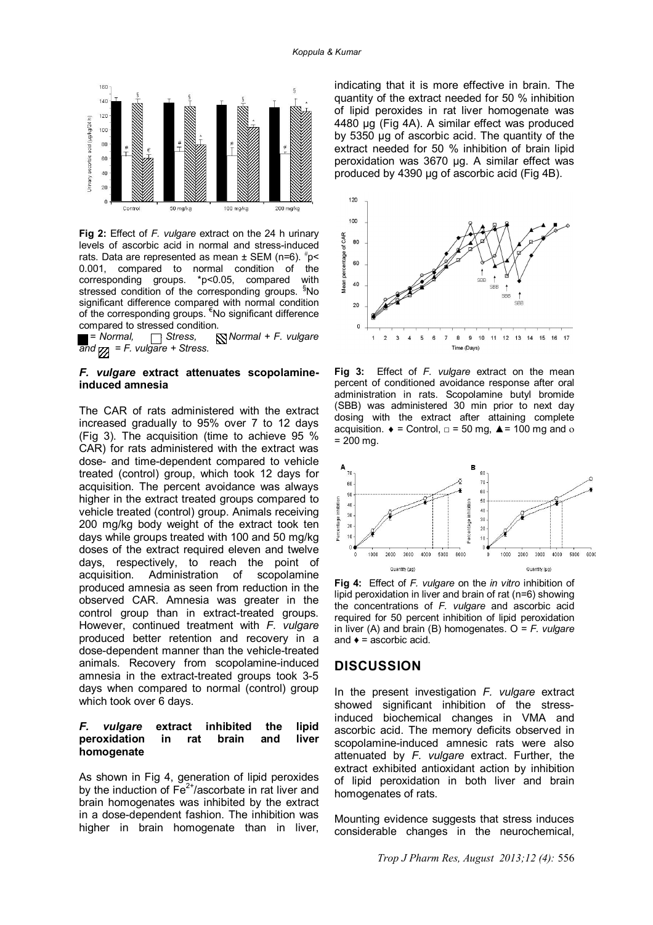

**Fig 2:** Effect of *F. vulgare* extract on the 24 h urinary levels of ascorbic acid in normal and stress-induced rats. Data are represented as mean  $\pm$  SEM (n=6).  $\textsuperscript{#}p$  < 0.001, compared to normal condition of the corresponding groups. \*p<0.05, compared with stressed condition of the corresponding groups. <sup>9</sup>No significant difference compared with normal condition of the corresponding groups.  $\epsilon$ No significant difference

compared to stressed condition.<br> $\blacksquare$  = Normal,  $\blacksquare$  Stress,  $\blacksquare$  *= Normal,*  $\blacksquare$  *Stress,*  $\blacksquare$  *Normal* + *F. vulgare*  $\overline{and}_{\overline{22}} = F.$  vulgare + Stress.

#### *F. vulgare* **extract attenuates scopolamineinduced amnesia**

The CAR of rats administered with the extract increased gradually to 95% over 7 to 12 days (Fig 3). The acquisition (time to achieve 95 % CAR) for rats administered with the extract was dose- and time-dependent compared to vehicle treated (control) group, which took 12 days for acquisition. The percent avoidance was always higher in the extract treated groups compared to vehicle treated (control) group. Animals receiving 200 mg/kg body weight of the extract took ten days while groups treated with 100 and 50 mg/kg doses of the extract required eleven and twelve days, respectively, to reach the point of acquisition. Administration of scopolamine produced amnesia as seen from reduction in the observed CAR. Amnesia was greater in the control group than in extract-treated groups. However, continued treatment with *F. vulgare* produced better retention and recovery in a dose-dependent manner than the vehicle-treated animals. Recovery from scopolamine-induced amnesia in the extract-treated groups took 3-5 days when compared to normal (control) group which took over 6 days.

### *F. vulgare* **extract inhibited the lipid peroxidation in rat brain and liver homogenate**

As shown in Fig 4, generation of lipid peroxides by the induction of  $Fe<sup>2+</sup>/ascorbate$  in rat liver and brain homogenates was inhibited by the extract in a dose-dependent fashion. The inhibition was higher in brain homogenate than in liver,

indicating that it is more effective in brain. The quantity of the extract needed for 50 % inhibition of lipid peroxides in rat liver homogenate was 4480 µg (Fig 4A). A similar effect was produced by 5350 µg of ascorbic acid. The quantity of the extract needed for 50 % inhibition of brain lipid peroxidation was 3670 µg. A similar effect was produced by 4390 µg of ascorbic acid (Fig 4B).



**Fig 3:** Effect of *F. vulgare* extract on the mean percent of conditioned avoidance response after oral administration in rats. Scopolamine butyl bromide (SBB) was administered 30 min prior to next day dosing with the extract after attaining complete acquisition.  $\bullet$  = Control,  $\Box$  = 50 mg,  $\triangle$  = 100 mg and o  $= 200$  mg.



**Fig 4:** Effect of *F. vulgare* on the *in vitro* inhibition of lipid peroxidation in liver and brain of rat (n=6) showing the concentrations of *F. vulgare* and ascorbic acid required for 50 percent inhibition of lipid peroxidation in liver (A) and brain (B) homogenates. Ο = *F. vulgare* and  $\bullet$  = ascorbic acid.

### **DISCUSSION**

In the present investigation *F. vulgare* extract showed significant inhibition of the stressinduced biochemical changes in VMA and ascorbic acid. The memory deficits observed in scopolamine-induced amnesic rats were also attenuated by *F. vulgare* extract. Further, the extract exhibited antioxidant action by inhibition of lipid peroxidation in both liver and brain homogenates of rats.

Mounting evidence suggests that stress induces considerable changes in the neurochemical,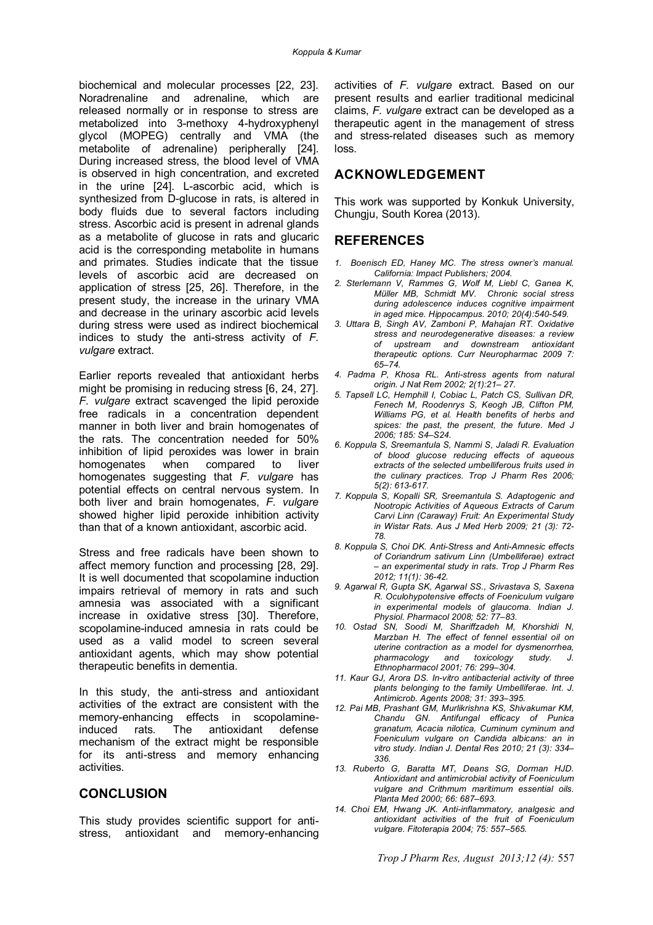biochemical and molecular processes [22, 23]. Noradrenaline and adrenaline, which are released normally or in response to stress are metabolized into 3-methoxy 4-hydroxyphenyl glycol (MOPEG) centrally and VMA (the metabolite of adrenaline) peripherally [24]. During increased stress, the blood level of VMA is observed in high concentration, and excreted in the urine [24]. L-ascorbic acid, which is synthesized from D-glucose in rats, is altered in body fluids due to several factors including stress. Ascorbic acid is present in adrenal glands as a metabolite of glucose in rats and glucaric acid is the corresponding metabolite in humans and primates. Studies indicate that the tissue levels of ascorbic acid are decreased on application of stress [25, 26]. Therefore, in the present study, the increase in the urinary VMA and decrease in the urinary ascorbic acid levels during stress were used as indirect biochemical indices to study the anti-stress activity of *F. vulgare* extract.

Earlier reports revealed that antioxidant herbs might be promising in reducing stress [6, 24, 27]. *F. vulgare* extract scavenged the lipid peroxide free radicals in a concentration dependent manner in both liver and brain homogenates of the rats. The concentration needed for 50% inhibition of lipid peroxides was lower in brain homogenates when compared to liver homogenates suggesting that *F. vulgare* has potential effects on central nervous system. In both liver and brain homogenates, *F. vulgare* showed higher lipid peroxide inhibition activity than that of a known antioxidant, ascorbic acid.

Stress and free radicals have been shown to affect memory function and processing [28, 29]. It is well documented that scopolamine induction impairs retrieval of memory in rats and such amnesia was associated with a significant increase in oxidative stress [30]. Therefore, scopolamine-induced amnesia in rats could be used as a valid model to screen several antioxidant agents, which may show potential therapeutic benefits in dementia.

In this study, the anti-stress and antioxidant activities of the extract are consistent with the memory-enhancing effects in scopolamineinduced rats. The antioxidant defense mechanism of the extract might be responsible for its anti-stress and memory enhancing activities.

### **CONCLUSION**

This study provides scientific support for antistress, antioxidant and memory-enhancing

activities of *F. vulgare* extract. Based on our present results and earlier traditional medicinal claims, *F. vulgare* extract can be developed as a therapeutic agent in the management of stress and stress-related diseases such as memory loss.

# **ACKNOWLEDGEMENT**

This work was supported by Konkuk University, Chungju, South Korea (2013).

### **REFERENCES**

- *1. Boenisch ED, Haney MC. The stress owner's manual. California: Impact Publishers; 2004.*
- *2. Sterlemann V, Rammes G, Wolf M, Liebl C, Ganea K, Müller MB, Schmidt MV. Chronic social stress during adolescence induces cognitive impairment in aged mice. Hippocampus. 2010; 20(4):540-549.*
- *3. Uttara B, Singh AV, Zamboni P, Mahajan RT. Oxidative stress and neurodegenerative diseases: a review of upstream and downstream antioxidant therapeutic options. Curr Neuropharmac 2009 7: 65–74.*
- *4. Padma P, Khosa RL. Anti-stress agents from natural origin. J Nat Rem 2002; 2(1):21– 27.*
- *5. Tapsell LC, Hemphill I, Cobiac L, Patch CS, Sullivan DR, Fenech M, Roodenrys S, Keogh JB, Clifton PM, Williams PG, et al. Health benefits of herbs and spices: the past, the present, the future. Med J 2006; 185: S4–S24.*
- *6. Koppula S, Sreemantula S, Nammi S, Jaladi R. Evaluation of blood glucose reducing effects of aqueous extracts of the selected umbelliferous fruits used in the culinary practices. Trop J Pharm Res 2006; 5(2): 613-617.*
- *7. Koppula S, Kopalli SR, Sreemantula S. Adaptogenic and Nootropic Activities of Aqueous Extracts of Carum Carvi Linn (Caraway) Fruit: An Experimental Study in Wistar Rats. Aus J Med Herb 2009; 21 (3): 72- 78.*
- *8. Koppula S, Choi DK. Anti-Stress and Anti-Amnesic effects of Coriandrum sativum Linn (Umbelliferae) extract – an experimental study in rats. Trop J Pharm Res 2012; 11(1): 36-42.*
- *9. Agarwal R, Gupta SK, Agarwal SS., Srivastava S, Saxena R. Oculohypotensive effects of Foeniculum vulgare in experimental models of glaucoma. Indian J. Physiol. Pharmacol 2008; 52: 77–83.*
- *10. Ostad SN, Soodi M, Shariffzadeh M, Khorshidi N, Marzban H. The effect of fennel essential oil on uterine contraction as a model for dysmenorrhea, pharmacology and toxicology study. Ethnopharmacol 2001; 76: 299–304.*
- *11. Kaur GJ, Arora DS. In-vitro antibacterial activity of three plants belonging to the family Umbelliferae. Int. J. Antimicrob. Agents 2008; 31: 393–395.*
- *12. Pai MB, Prashant GM, Murlikrishna KS, Shivakumar KM, Chandu GN. Antifungal efficacy of Punica granatum, Acacia nilotica, Cuminum cyminum and Foeniculum vulgare on Candida albicans: an in vitro study. Indian J. Dental Res 2010; 21 (3): 334– 336.*
- *13. Ruberto G, Baratta MT, Deans SG, Dorman HJD. Antioxidant and antimicrobial activity of Foeniculum vulgare and Crithmum maritimum essential oils. Planta Med 2000; 66: 687–693.*
- *14. Choi EM, Hwang JK. Anti-inflammatory, analgesic and antioxidant activities of the fruit of Foeniculum vulgare. Fitoterapia 2004; 75: 557–565.*

*Trop J Pharm Res, August 2013;12 (4):* 557